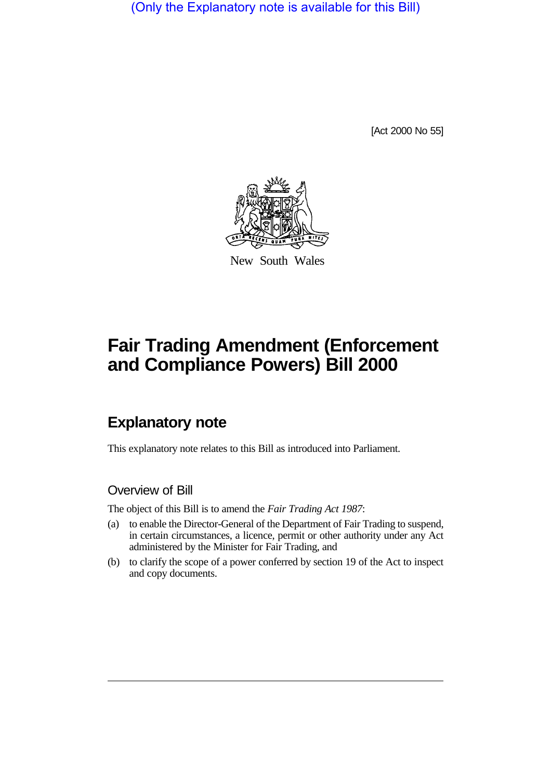(Only the Explanatory note is available for this Bill)

[Act 2000 No 55]



New South Wales

# **Fair Trading Amendment (Enforcement and Compliance Powers) Bill 2000**

## **Explanatory note**

This explanatory note relates to this Bill as introduced into Parliament.

#### Overview of Bill

The object of this Bill is to amend the *Fair Trading Act 1987*:

- (a) to enable the Director-General of the Department of Fair Trading to suspend, in certain circumstances, a licence, permit or other authority under any Act administered by the Minister for Fair Trading, and
- (b) to clarify the scope of a power conferred by section 19 of the Act to inspect and copy documents.